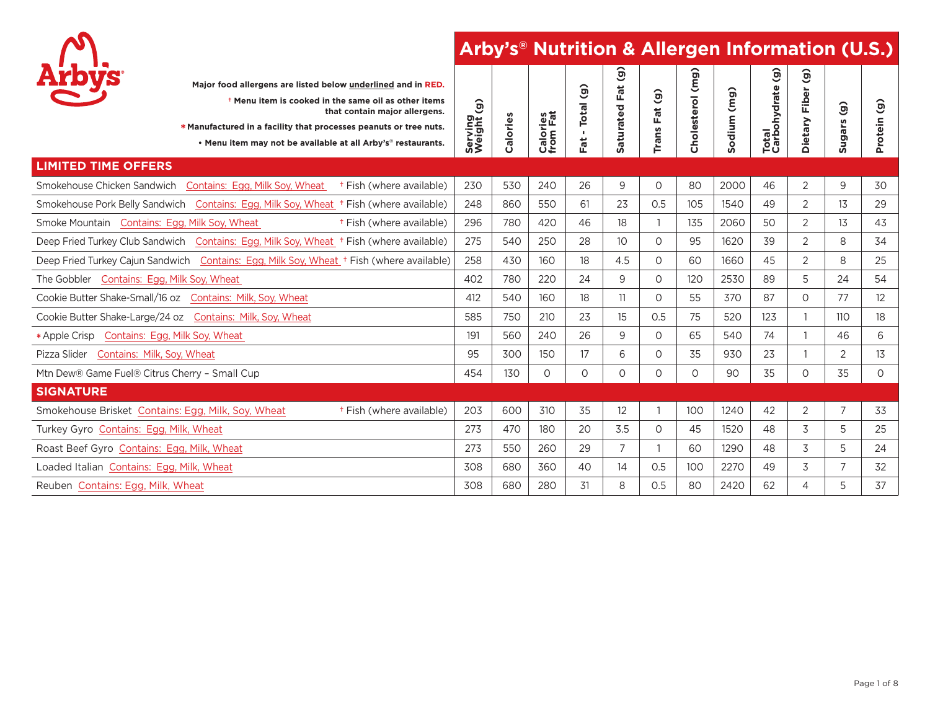

|                                               | Major food allergens are listed below underlined and in RED.<br><sup>†</sup> Menu item is cooked in the same oil as other items<br>that contain major allergens.<br>* Manufactured in a facility that processes peanuts or tree nuts.<br>• Menu item may not be available at all Arby's <sup>®</sup> restaurants. | $\widehat{\mathbf{g}}$<br>Serving<br>Weight | Calories | <b>Calories</b><br>from Fat | $\mathbf{G}$<br>Total<br>л.<br>Fat | $\widehat{\mathbf{e}}$<br>Fat<br>aturated<br><b>U)</b> | $\widehat{g}$<br>Fat<br>Trans | Cholesterol (mg) | (mg)<br>odium<br><b>S</b> | $\widehat{\mathbf{e}}$<br>Total<br>Carbohydrate ( | $\widehat{\mathbf{e}}$<br>Fiber<br>Dietary | $\widehat{\mathbf{e}}$<br><b>Sugars</b> | $\widehat{g}$<br>Protein |
|-----------------------------------------------|-------------------------------------------------------------------------------------------------------------------------------------------------------------------------------------------------------------------------------------------------------------------------------------------------------------------|---------------------------------------------|----------|-----------------------------|------------------------------------|--------------------------------------------------------|-------------------------------|------------------|---------------------------|---------------------------------------------------|--------------------------------------------|-----------------------------------------|--------------------------|
| <b>LIMITED TIME OFFERS</b>                    |                                                                                                                                                                                                                                                                                                                   |                                             |          |                             |                                    |                                                        |                               |                  |                           |                                                   |                                            |                                         |                          |
| Smokehouse Chicken Sandwich                   | Contains: Egg, Milk Soy, Wheat + Fish (where available)                                                                                                                                                                                                                                                           | 230                                         | 530      | 240                         | 26                                 | 9                                                      | 0                             | 80               | 2000                      | 46                                                | 2                                          | 9                                       | 30                       |
|                                               | Smokehouse Pork Belly Sandwich Contains: Egg, Milk Soy, Wheat † Fish (where available)                                                                                                                                                                                                                            | 248                                         | 860      | 550                         | 61                                 | 23                                                     | 0.5                           | 105              | 1540                      | 49                                                | 2                                          | 13                                      | 29                       |
| Smoke Mountain Contains: Egg, Milk Soy, Wheat | <sup>†</sup> Fish (where available)                                                                                                                                                                                                                                                                               | 296                                         | 780      | 420                         | 46                                 | 18                                                     | 1                             | 135              | 2060                      | 50                                                | $\overline{2}$                             | 13                                      | 43                       |
|                                               | Deep Fried Turkey Club Sandwich Contains: Egg, Milk Soy, Wheat <sup>+</sup> Fish (where available)                                                                                                                                                                                                                | 275                                         | 540      | 250                         | 28                                 | 10 <sup>2</sup>                                        | $\Omega$                      | 95               | 1620                      | 39                                                | $\overline{2}$                             | 8                                       | 34                       |
|                                               | Deep Fried Turkey Cajun Sandwich Contains: Egg, Milk Soy, Wheat <sup>+</sup> Fish (where available)                                                                                                                                                                                                               | 258                                         | 430      | 160                         | 18                                 | 4.5                                                    | 0                             | 60               | 1660                      | 45                                                | $\overline{2}$                             | 8                                       | 25                       |
| The Gobbler Contains: Egg, Milk Soy, Wheat    |                                                                                                                                                                                                                                                                                                                   | 402                                         | 780      | 220                         | 24                                 | 9                                                      | O                             | 120              | 2530                      | 89                                                | 5                                          | 24                                      | 54                       |
|                                               | Cookie Butter Shake-Small/16 oz Contains: Milk, Soy, Wheat                                                                                                                                                                                                                                                        | 412                                         | 540      | 160                         | 18                                 | 11                                                     | $\Omega$                      | 55               | 370                       | 87                                                | $\circ$                                    | 77                                      | 12                       |
|                                               | Cookie Butter Shake-Large/24 oz Contains: Milk, Soy, Wheat                                                                                                                                                                                                                                                        | 585                                         | 750      | 210                         | 23                                 | 15                                                     | 0.5                           | 75               | 520                       | 123                                               |                                            | 110                                     | 18                       |
| *Apple Crisp Contains: Egg, Milk Soy, Wheat   |                                                                                                                                                                                                                                                                                                                   | 191                                         | 560      | 240                         | 26                                 | 9                                                      | 0                             | 65               | 540                       | 74                                                | $\mathbf{1}$                               | 46                                      | 6                        |
| Pizza Slider Contains: Milk, Soy, Wheat       |                                                                                                                                                                                                                                                                                                                   | 95                                          | 300      | 150                         | 17                                 | 6                                                      | 0                             | 35               | 930                       | 23                                                |                                            | 2                                       | 13                       |
| Mtn Dew® Game Fuel® Citrus Cherry - Small Cup |                                                                                                                                                                                                                                                                                                                   | 454                                         | 130      | 0                           | 0                                  | 0                                                      | 0                             | 0                | 90                        | 35                                                | $\circ$                                    | 35                                      | 0                        |
| <b>SIGNATURE</b>                              |                                                                                                                                                                                                                                                                                                                   |                                             |          |                             |                                    |                                                        |                               |                  |                           |                                                   |                                            |                                         |                          |
|                                               | Smokehouse Brisket Contains: Egg, Milk, Soy, Wheat<br><sup>†</sup> Fish (where available)                                                                                                                                                                                                                         | 203                                         | 600      | 310                         | 35                                 | 12                                                     |                               | 100              | 1240                      | 42                                                | 2                                          | $\overline{7}$                          | 33                       |
| Turkey Gyro Contains: Egg, Milk, Wheat        |                                                                                                                                                                                                                                                                                                                   | 273                                         | 470      | 180                         | 20                                 | 3.5                                                    | 0                             | 45               | 1520                      | 48                                                | 3                                          | 5                                       | 25                       |
| Roast Beef Gyro Contains: Egg, Milk, Wheat    |                                                                                                                                                                                                                                                                                                                   | 273                                         | 550      | 260                         | 29                                 | $\overline{7}$                                         |                               | 60               | 1290                      | 48                                                | 3                                          | 5                                       | 24                       |
| Loaded Italian Contains: Egg, Milk, Wheat     |                                                                                                                                                                                                                                                                                                                   | 308                                         | 680      | 360                         | 40                                 | 14                                                     | 0.5                           | 100              | 2270                      | 49                                                | 3                                          | $\overline{7}$                          | 32                       |
| Reuben Contains: Egg, Milk, Wheat             |                                                                                                                                                                                                                                                                                                                   | 308                                         | 680      | 280                         | 31                                 | 8                                                      | 0.5                           | 80               | 2420                      | 62                                                | $\overline{A}$                             | 5                                       | 37                       |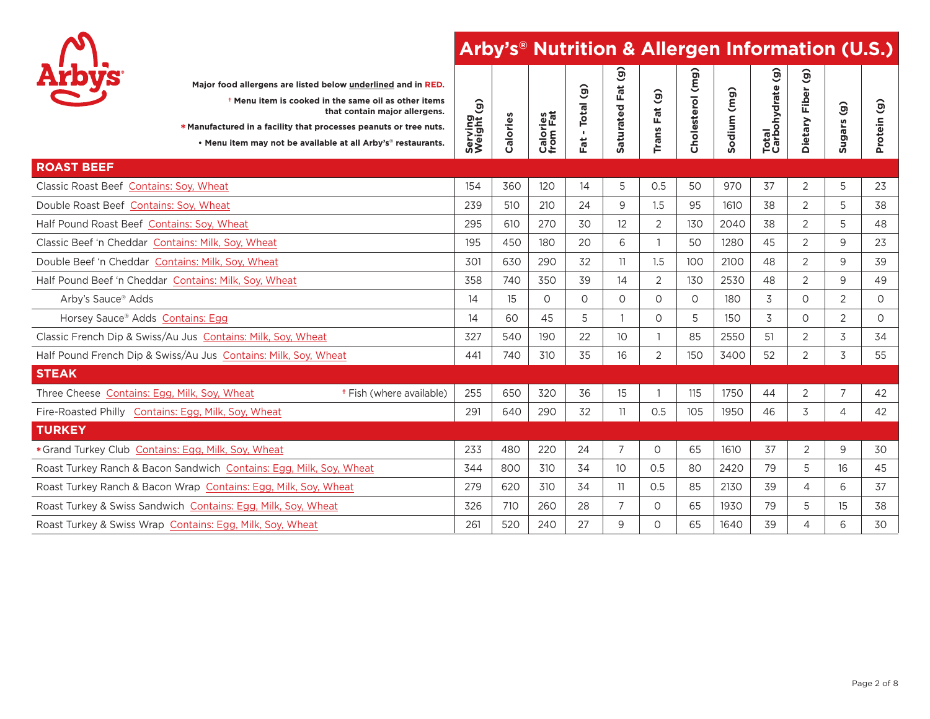

| <b>Arbys</b>                                 | * Manufactured in a facility that processes peanuts or tree nuts.   | Major food allergens are listed below underlined and in RED.<br><sup>†</sup> Menu item is cooked in the same oil as other items<br>that contain major allergens.<br>. Menu item may not be available at all Arby's® restaurants. | Serving<br>Weight (g) | Calories | Calories<br>from Fat | Total (g)<br>$\mathbf{r}$<br>Fat | <u>G</u><br>Fat<br>aturated<br><b>U)</b> | $\widehat{g}$<br>Fat<br>Trans | Cholesterol (mg) | (mg)<br>Sodium | $\widehat{\Theta}$<br>Total<br>Carbohydrate | $\widehat{\mathbf{e}}$<br>ò<br>È<br>Dietary | $\hat{g}$<br><b>Sugars</b> | $\widehat{g}$<br>Protein |
|----------------------------------------------|---------------------------------------------------------------------|----------------------------------------------------------------------------------------------------------------------------------------------------------------------------------------------------------------------------------|-----------------------|----------|----------------------|----------------------------------|------------------------------------------|-------------------------------|------------------|----------------|---------------------------------------------|---------------------------------------------|----------------------------|--------------------------|
| <b>ROAST BEEF</b>                            |                                                                     |                                                                                                                                                                                                                                  |                       |          |                      |                                  |                                          |                               |                  |                |                                             |                                             |                            |                          |
| Classic Roast Beef Contains: Soy, Wheat      |                                                                     |                                                                                                                                                                                                                                  | 154                   | 360      | 120                  | 14                               | 5                                        | 0.5                           | 50               | 970            | 37                                          | $\overline{2}$                              | 5                          | 23                       |
| Double Roast Beef Contains: Soy, Wheat       |                                                                     |                                                                                                                                                                                                                                  | 239                   | 510      | 210                  | 24                               | 9                                        | 1.5                           | 95               | 1610           | 38                                          | 2                                           | 5                          | 38                       |
| Half Pound Roast Beef Contains: Soy, Wheat   |                                                                     |                                                                                                                                                                                                                                  | 295                   | 610      | 270                  | 30                               | 12                                       | 2                             | 130              | 2040           | 38                                          | 2                                           | 5                          | 48                       |
|                                              | Classic Beef 'n Cheddar Contains: Milk, Soy, Wheat                  |                                                                                                                                                                                                                                  | 195                   | 450      | 180                  | 20                               | 6                                        |                               | 50               | 1280           | 45                                          | 2                                           | 9                          | 23                       |
|                                              | Double Beef 'n Cheddar Contains: Milk, Soy, Wheat                   |                                                                                                                                                                                                                                  | 301                   | 630      | 290                  | 32                               | 11                                       | 1.5                           | 100              | 2100           | 48                                          | 2                                           | 9                          | 39                       |
|                                              | Half Pound Beef 'n Cheddar Contains: Milk, Soy, Wheat               |                                                                                                                                                                                                                                  | 358                   | 740      | 350                  | 39                               | 14                                       | 2                             | 130              | 2530           | 48                                          | 2                                           | 9                          | 49                       |
| Arby's Sauce <sup>®</sup> Adds               |                                                                     |                                                                                                                                                                                                                                  | 14                    | 15       | 0                    | 0                                | 0                                        | 0                             | $\circ$          | 180            | 3                                           | 0                                           | 2                          | 0                        |
| Horsey Sauce® Adds Contains: Egg             |                                                                     |                                                                                                                                                                                                                                  | 14                    | 60       | 45                   | 5                                |                                          | $\circ$                       | 5                | 150            | 3                                           | $\circ$                                     | 2                          | 0                        |
|                                              | Classic French Dip & Swiss/Au Jus Contains: Milk, Soy, Wheat        |                                                                                                                                                                                                                                  | 327                   | 540      | 190                  | 22                               | 10                                       | 1                             | 85               | 2550           | 51                                          | 2                                           | 3                          | 34                       |
|                                              | Half Pound French Dip & Swiss/Au Jus Contains: Milk, Soy, Wheat     |                                                                                                                                                                                                                                  | 441                   | 740      | 310                  | 35                               | 16                                       | $\overline{2}$                | 150              | 3400           | 52                                          | $\overline{2}$                              | 3                          | 55                       |
| <b>STEAK</b>                                 |                                                                     |                                                                                                                                                                                                                                  |                       |          |                      |                                  |                                          |                               |                  |                |                                             |                                             |                            |                          |
| Three Cheese Contains: Egg, Milk, Soy, Wheat |                                                                     | <sup>†</sup> Fish (where available)                                                                                                                                                                                              | 255                   | 650      | 320                  | 36                               | 15                                       |                               | 115              | 1750           | 44                                          | $\overline{2}$                              | $\overline{7}$             | 42                       |
|                                              | Fire-Roasted Philly Contains: Egg, Milk, Soy, Wheat                 |                                                                                                                                                                                                                                  | 291                   | 640      | 290                  | 32                               | 11                                       | 0.5                           | 105              | 1950           | 46                                          | 3                                           | $\overline{4}$             | 42                       |
| <b>TURKEY</b>                                |                                                                     |                                                                                                                                                                                                                                  |                       |          |                      |                                  |                                          |                               |                  |                |                                             |                                             |                            |                          |
|                                              | *Grand Turkey Club Contains: Egg, Milk, Soy, Wheat                  |                                                                                                                                                                                                                                  | 233                   | 480      | 220                  | 24                               | $\overline{7}$                           | $\circ$                       | 65               | 1610           | 37                                          | $\overline{2}$                              | 9                          | 30                       |
|                                              | Roast Turkey Ranch & Bacon Sandwich Contains: Egg, Milk, Soy, Wheat |                                                                                                                                                                                                                                  | 344                   | 800      | 310                  | 34                               | 10 <sup>°</sup>                          | 0.5                           | 80               | 2420           | 79                                          | 5                                           | 16                         | 45                       |
|                                              | Roast Turkey Ranch & Bacon Wrap Contains: Egg, Milk, Soy, Wheat     |                                                                                                                                                                                                                                  | 279                   | 620      | 310                  | 34                               | 11                                       | 0.5                           | 85               | 2130           | 39                                          | 4                                           | 6                          | 37                       |
|                                              | Roast Turkey & Swiss Sandwich Contains: Egg, Milk, Soy, Wheat       |                                                                                                                                                                                                                                  | 326                   | 710      | 260                  | 28                               | 7                                        | 0                             | 65               | 1930           | 79                                          | 5                                           | 15                         | 38                       |
|                                              | Roast Turkey & Swiss Wrap Contains: Egg, Milk, Soy, Wheat           |                                                                                                                                                                                                                                  | 261                   | 520      | 240                  | 27                               | 9                                        | $\Omega$                      | 65               | 1640           | 39                                          | 4                                           | 6                          | 30                       |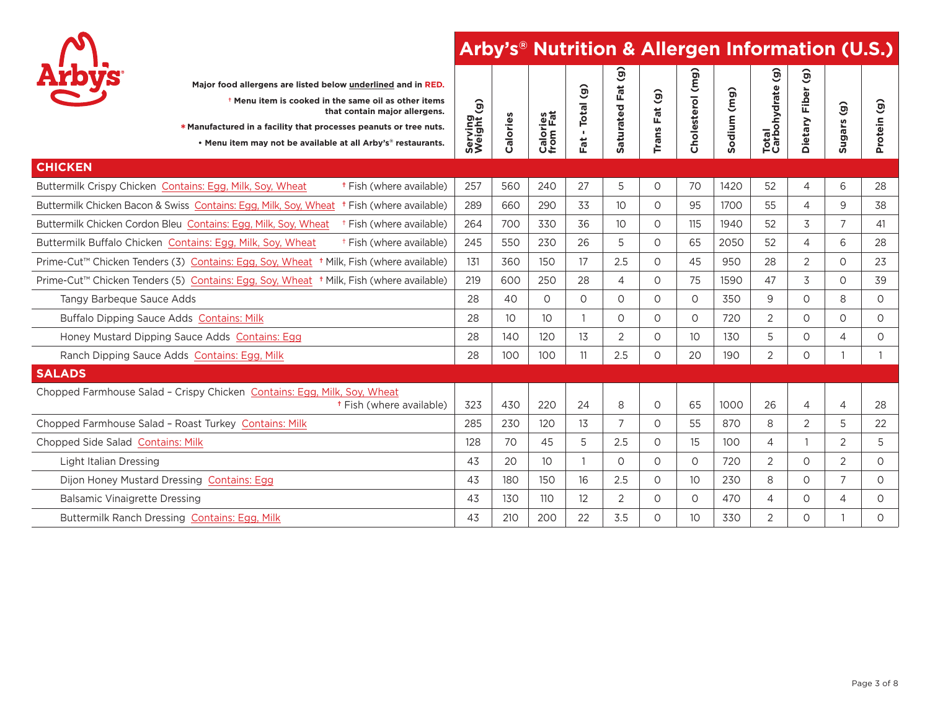

| <b>Arbys</b><br>Major food allergens are listed below underlined and in RED.<br><sup>†</sup> Menu item is cooked in the same oil as other items<br>that contain major allergens.<br>* Manufactured in a facility that processes peanuts or tree nuts.<br>. Menu item may not be available at all Arby's® restaurants. | Serving<br>Weight (g) | Calories        | Calories<br>from Fat | $\widehat{g}$<br>Total<br>$\mathbf{r}$<br>Fat | $\hat{g}$<br>Fat<br>aturated<br><b>un</b> | Fat (g)<br><b>Trans</b> | Cholesterol (mg) | (mg)<br>odium<br>Ū. | $\hat{e}$<br>Total<br>Carbohydrate ( | ම<br>à<br>Eio<br>Dietary | $\widehat{\mathbf{G}}$<br>Sugars | $\widehat{\mathbf{e}}$<br>Protein |
|-----------------------------------------------------------------------------------------------------------------------------------------------------------------------------------------------------------------------------------------------------------------------------------------------------------------------|-----------------------|-----------------|----------------------|-----------------------------------------------|-------------------------------------------|-------------------------|------------------|---------------------|--------------------------------------|--------------------------|----------------------------------|-----------------------------------|
| <b>CHICKEN</b>                                                                                                                                                                                                                                                                                                        |                       |                 |                      |                                               |                                           |                         |                  |                     |                                      |                          |                                  |                                   |
| Buttermilk Crispy Chicken Contains: Egg, Milk, Soy, Wheat<br><sup>†</sup> Fish (where available)                                                                                                                                                                                                                      | 257                   | 560             | 240                  | 27                                            | 5                                         | $\circ$                 | 70               | 1420                | 52                                   | 4                        | 6                                | 28                                |
| <sup>†</sup> Fish (where available)<br>Buttermilk Chicken Bacon & Swiss Contains: Egg, Milk, Soy, Wheat                                                                                                                                                                                                               | 289                   | 660             | 290                  | 33                                            | 10 <sup>°</sup>                           | 0                       | 95               | 1700                | 55                                   | $\overline{4}$           | 9                                | 38                                |
| Buttermilk Chicken Cordon Bleu Contains: Egg, Milk, Soy, Wheat<br><sup>†</sup> Fish (where available)                                                                                                                                                                                                                 | 264                   | 700             | 330                  | 36                                            | 10 <sup>°</sup>                           | 0                       | 115              | 1940                | 52                                   | 3                        | 7                                | 41                                |
| <sup>†</sup> Fish (where available)<br>Buttermilk Buffalo Chicken Contains: Egg, Milk, Soy, Wheat                                                                                                                                                                                                                     | 245                   | 550             | 230                  | 26                                            | 5                                         | $\circ$                 | 65               | 2050                | 52                                   | $\overline{4}$           | 6                                | 28                                |
| Prime-Cut™ Chicken Tenders (3) Contains: Egg, Soy, Wheat <sup>+</sup> Milk, Fish (where available)                                                                                                                                                                                                                    | 131                   | 360             | 150                  | 17                                            | 2.5                                       | $\circ$                 | 45               | 950                 | 28                                   | $\overline{2}$           | 0                                | 23                                |
| Prime-Cut™ Chicken Tenders (5) Contains: Egg, Soy, Wheat <sup>+</sup> Milk, Fish (where available)                                                                                                                                                                                                                    | 219                   | 600             | 250                  | 28                                            | 4                                         | 0                       | 75               | 1590                | 47                                   | 3                        | 0                                | 39                                |
| Tangy Barbeque Sauce Adds                                                                                                                                                                                                                                                                                             | 28                    | 40              | $\Omega$             | $\Omega$                                      | $\Omega$                                  | $\Omega$                | $\Omega$         | 350                 | 9                                    | $\Omega$                 | 8                                | $\circ$                           |
| Buffalo Dipping Sauce Adds Contains: Milk                                                                                                                                                                                                                                                                             | 28                    | 10 <sup>2</sup> | 10                   | $\mathbf{1}$                                  | $\Omega$                                  | $\Omega$                | $\Omega$         | 720                 | 2                                    | $\Omega$                 | $\Omega$                         | 0                                 |
| Honey Mustard Dipping Sauce Adds Contains: Egg                                                                                                                                                                                                                                                                        | 28                    | 140             | 120                  | 13                                            | 2                                         | 0                       | 10 <sup>°</sup>  | 130                 | 5                                    | $\circ$                  | 4                                | 0                                 |
| Ranch Dipping Sauce Adds Contains: Egg, Milk                                                                                                                                                                                                                                                                          | 28                    | 100             | 100                  | 11                                            | 2.5                                       | $\circ$                 | 20               | 190                 | $\overline{2}$                       | $\circ$                  | $\mathbf{1}$                     | $\mathbf{1}$                      |
| <b>SALADS</b>                                                                                                                                                                                                                                                                                                         |                       |                 |                      |                                               |                                           |                         |                  |                     |                                      |                          |                                  |                                   |
| Chopped Farmhouse Salad - Crispy Chicken Contains: Egg, Milk, Soy, Wheat<br><sup>†</sup> Fish (where available)                                                                                                                                                                                                       | 323                   | 430             | 220                  | 24                                            | 8                                         | $\circ$                 | 65               | 1000                | 26                                   | $\overline{4}$           | 4                                | 28                                |
| Chopped Farmhouse Salad - Roast Turkey Contains: Milk                                                                                                                                                                                                                                                                 | 285                   | 230             | 120                  | 13                                            | $\overline{7}$                            | 0                       | 55               | 870                 | 8                                    | 2                        | 5                                | 22                                |
| Chopped Side Salad Contains: Milk                                                                                                                                                                                                                                                                                     | 128                   | 70              | 45                   | 5                                             | 2.5                                       | $\circ$                 | 15               | 100                 | 4                                    |                          | $\overline{2}$                   | 5                                 |
| Light Italian Dressing                                                                                                                                                                                                                                                                                                | 43                    | 20              | 10                   |                                               | 0                                         | $\circ$                 | $\circ$          | 720                 | $\overline{2}$                       | $\circ$                  | $\overline{2}$                   | $\circ$                           |
| Dijon Honey Mustard Dressing Contains: Egg                                                                                                                                                                                                                                                                            | 43                    | 180             | 150                  | 16                                            | 2.5                                       | 0                       | 10 <sup>°</sup>  | 230                 | 8                                    | $\circ$                  | $\overline{7}$                   | $\circ$                           |
| <b>Balsamic Vinaigrette Dressing</b>                                                                                                                                                                                                                                                                                  | 43                    | 130             | 110                  | 12                                            | 2                                         | $\circ$                 | $\circ$          | 470                 | 4                                    | $\circ$                  | 4                                | 0                                 |
| Buttermilk Ranch Dressing Contains: Egg, Milk                                                                                                                                                                                                                                                                         | 43                    | 210             | 200                  | 22                                            | 3.5                                       | 0                       | 10 <sup>°</sup>  | 330                 | 2                                    | $\Omega$                 |                                  | $\circ$                           |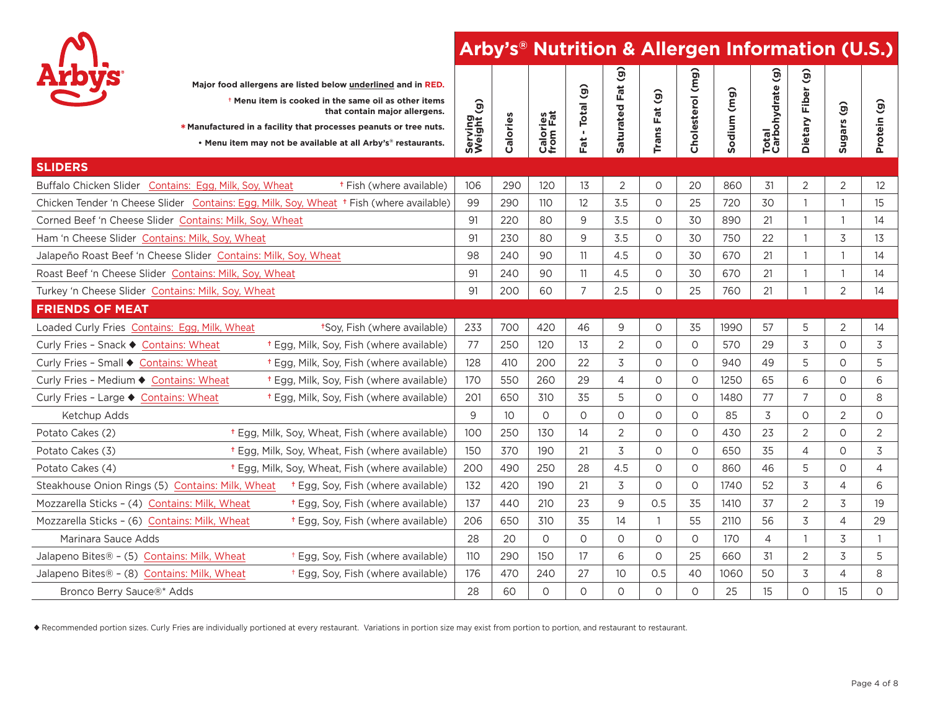

|                                                    |                                                                 | Major food allergens are listed below underlined and in RED.<br><sup>t</sup> Menu item is cooked in the same oil as other items<br>that contain major allergens.<br>* Manufactured in a facility that processes peanuts or tree nuts.<br>. Menu item may not be available at all Arby's® restaurants. | $\hat{g}$<br>Serving<br>Weight | Calories | Calories<br>from Fat | $\widehat{(\widehat{\mathbf{e}})}$<br>- Total<br>Fat | $\widehat{g}$<br>Fat<br>aturated<br>ú, | Trans Fat (g)  | (mg)<br>Cholesterol | Sodium (mg) | $\widehat{g}$<br>Total<br>Carbohydrate | $\mathbf{G}$<br>Fiber<br>Dietary | Sugars (g)     | $\widehat{\mathbf{e}}$<br>Protein |
|----------------------------------------------------|-----------------------------------------------------------------|-------------------------------------------------------------------------------------------------------------------------------------------------------------------------------------------------------------------------------------------------------------------------------------------------------|--------------------------------|----------|----------------------|------------------------------------------------------|----------------------------------------|----------------|---------------------|-------------|----------------------------------------|----------------------------------|----------------|-----------------------------------|
| <b>SLIDERS</b>                                     |                                                                 |                                                                                                                                                                                                                                                                                                       |                                |          |                      |                                                      |                                        |                |                     |             |                                        |                                  |                |                                   |
|                                                    | Buffalo Chicken Slider Contains: Egg, Milk, Soy, Wheat          | <sup>†</sup> Fish (where available)                                                                                                                                                                                                                                                                   | 106                            | 290      | 120                  | 13                                                   | $\overline{2}$                         | $\circ$        | 20                  | 860         | 31                                     | $\overline{2}$                   | $\overline{2}$ | 12                                |
|                                                    |                                                                 | Chicken Tender 'n Cheese Slider Contains: Egg, Milk, Soy, Wheat + Fish (where available)                                                                                                                                                                                                              | 99                             | 290      | 110                  | 12                                                   | 3.5                                    | $\circ$        | 25                  | 720         | 30                                     | $\mathbf{1}$                     | $\mathbf{1}$   | 15                                |
|                                                    | Corned Beef 'n Cheese Slider Contains: Milk, Soy, Wheat         |                                                                                                                                                                                                                                                                                                       | 91                             | 220      | 80                   | 9                                                    | 3.5                                    | $\Omega$       | 30                  | 890         | 21                                     |                                  | $\mathbf{1}$   | 14                                |
| Ham 'n Cheese Slider Contains: Milk, Soy, Wheat    |                                                                 |                                                                                                                                                                                                                                                                                                       | 91                             | 230      | 80                   | 9                                                    | 3.5                                    | $\Omega$       | 30                  | 750         | 22                                     | $\overline{1}$                   | 3              | 13                                |
|                                                    | Jalapeño Roast Beef 'n Cheese Slider Contains: Milk, Soy, Wheat |                                                                                                                                                                                                                                                                                                       | 98                             | 240      | 90                   | 11                                                   | 4.5                                    | 0              | 30                  | 670         | 21                                     |                                  | 1              | 14                                |
|                                                    | Roast Beef 'n Cheese Slider Contains: Milk, Soy, Wheat          |                                                                                                                                                                                                                                                                                                       | 91                             | 240      | 90                   | 11                                                   | 4.5                                    | $\Omega$       | 30                  | 670         | 21                                     | -1                               | $\mathbf{1}$   | 14                                |
| Turkey 'n Cheese Slider Contains: Milk, Soy, Wheat |                                                                 |                                                                                                                                                                                                                                                                                                       | 91                             | 200      | 60                   | $\overline{7}$                                       | 2.5                                    | $\circ$        | 25                  | 760         | 21                                     |                                  | $\overline{2}$ | 14                                |
| <b>FRIENDS OF MEAT</b>                             |                                                                 |                                                                                                                                                                                                                                                                                                       |                                |          |                      |                                                      |                                        |                |                     |             |                                        |                                  |                |                                   |
| Loaded Curly Fries Contains: Egg, Milk, Wheat      |                                                                 | *Soy, Fish (where available)                                                                                                                                                                                                                                                                          | 233                            | 700      | 420                  | 46                                                   | 9                                      | $\circ$        | 35                  | 1990        | 57                                     | 5                                | 2              | 14                                |
| Curly Fries - Snack ♦ Contains: Wheat              |                                                                 | <sup>+</sup> Egg, Milk, Soy, Fish (where available)                                                                                                                                                                                                                                                   | 77                             | 250      | 120                  | 13                                                   | 2                                      | $\Omega$       | $\circ$             | 570         | 29                                     | 3                                | O              | 3                                 |
| Curly Fries - Small ♦ Contains: Wheat              |                                                                 | <sup>+</sup> Egg, Milk, Soy, Fish (where available)                                                                                                                                                                                                                                                   | 128                            | 410      | 200                  | 22                                                   | 3                                      | $\circ$        | $\circ$             | 940         | 49                                     | 5                                | 0              | 5                                 |
| Curly Fries - Medium ♦ Contains: Wheat             |                                                                 | <sup>+</sup> Egg, Milk, Soy, Fish (where available)                                                                                                                                                                                                                                                   | 170                            | 550      | 260                  | 29                                                   | 4                                      | $\circ$        | $\circ$             | 1250        | 65                                     | 6                                | 0              | 6                                 |
| Curly Fries - Large ♦ Contains: Wheat              |                                                                 | <sup>†</sup> Egg, Milk, Soy, Fish (where available)                                                                                                                                                                                                                                                   | 201                            | 650      | 310                  | 35                                                   | 5                                      | $\circ$        | $\circ$             | 1480        | 77                                     | $\overline{7}$                   | 0              | 8                                 |
| Ketchup Adds                                       |                                                                 |                                                                                                                                                                                                                                                                                                       | 9                              | 10       | $\circ$              | $\circ$                                              | $\circ$                                | $\circ$        | $\circ$             | 85          | 3                                      | 0                                | 2              | $\circ$                           |
| Potato Cakes (2)                                   |                                                                 | <sup>†</sup> Egg, Milk, Soy, Wheat, Fish (where available)                                                                                                                                                                                                                                            | 100                            | 250      | 130                  | 14                                                   | $\overline{2}$                         | $\Omega$       | $\Omega$            | 430         | 23                                     | 2                                | 0              | $\overline{2}$                    |
| Potato Cakes (3)                                   |                                                                 | <sup>†</sup> Egg, Milk, Soy, Wheat, Fish (where available)                                                                                                                                                                                                                                            | 150                            | 370      | 190                  | 21                                                   | 3                                      | $\circ$        | $\circ$             | 650         | 35                                     | 4                                | 0              | 3                                 |
| Potato Cakes (4)                                   |                                                                 | <sup>+</sup> Egg, Milk, Soy, Wheat, Fish (where available)                                                                                                                                                                                                                                            | 200                            | 490      | 250                  | 28                                                   | 4.5                                    | $\circ$        | $\circ$             | 860         | 46                                     | 5                                | O              | $\overline{4}$                    |
|                                                    |                                                                 | Steakhouse Onion Rings (5) Contains: Milk, Wheat + Egg, Soy, Fish (where available)                                                                                                                                                                                                                   | 132                            | 420      | 190                  | 21                                                   | 3                                      | $\circ$        | $\circ$             | 1740        | 52                                     | 3                                | 4              | 6                                 |
| Mozzarella Sticks - (4) Contains: Milk, Wheat      |                                                                 | <sup>t</sup> Egg, Soy, Fish (where available)                                                                                                                                                                                                                                                         | 137                            | 440      | 210                  | 23                                                   | 9                                      | 0.5            | 35                  | 1410        | 37                                     | $\overline{2}$                   | 3              | 19                                |
| Mozzarella Sticks - (6) Contains: Milk, Wheat      |                                                                 | <sup>t</sup> Egg, Soy, Fish (where available)                                                                                                                                                                                                                                                         | 206                            | 650      | 310                  | 35                                                   | 14                                     | $\overline{1}$ | 55                  | 2110        | 56                                     | 3                                | 4              | 29                                |
| Marinara Sauce Adds                                |                                                                 |                                                                                                                                                                                                                                                                                                       | 28                             | 20       | $\circ$              | $\Omega$                                             | $\circ$                                | $\Omega$       | $\circ$             | 170         | $\overline{4}$                         | -1                               | 3              | $\overline{1}$                    |
| Jalapeno Bites® - (5) Contains: Milk, Wheat        |                                                                 | <sup>+</sup> Egg, Soy, Fish (where available)                                                                                                                                                                                                                                                         | 110                            | 290      | 150                  | 17                                                   | 6                                      | $\Omega$       | 25                  | 660         | 31                                     | 2                                | 3              | 5                                 |
| Jalapeno Bites® - (8) Contains: Milk, Wheat        |                                                                 | <sup>+</sup> Egg, Soy, Fish (where available)                                                                                                                                                                                                                                                         | 176                            | 470      | 240                  | 27                                                   | 10                                     | 0.5            | 40                  | 1060        | 50                                     | 3                                | 4              | 8                                 |
| Bronco Berry Sauce®* Adds                          |                                                                 |                                                                                                                                                                                                                                                                                                       | 28                             | 60       | $\Omega$             | $\Omega$                                             | $\Omega$                               | $\Omega$       | $\Omega$            | 25          | 15                                     | $\Omega$                         | 15             | $\Omega$                          |

u Recommended portion sizes. Curly Fries are individually portioned at every restaurant. Variations in portion size may exist from portion to portion, and restaurant to restaurant.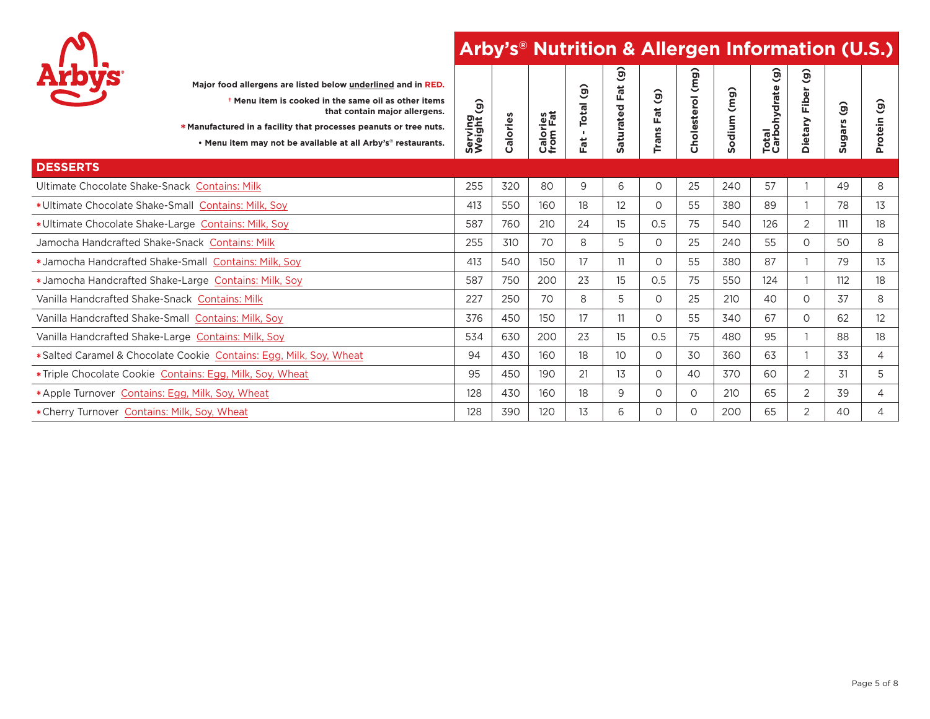

|                                                                    | Major food allergens are listed below underlined and in RED.<br><sup>†</sup> Menu item is cooked in the same oil as other items<br>that contain major allergens.<br>* Manufactured in a facility that processes peanuts or tree nuts.<br>. Menu item may not be available at all Arby's <sup>®</sup> restaurants. | $\hat{g}$<br>Serving<br>Weight | Calories | Calories<br>from Fat | $\widehat{\mathbf{e}}$<br><b>Total</b><br>- 11<br>Fat | $\widehat{g}$<br>$\vec{a}$<br>щ<br>aturated<br><b>un</b> | $\widehat{g}$<br>đ<br>ш<br>Trans | (mg)<br><b>Cholesterol</b> | (mg)<br>odium<br><b>S</b> | $\widehat{\mathbf{e}}$<br>Total<br>Carbohydrate | $\widehat{\mathbf{e}}$<br>Fiber<br>Dietary | $\widehat{\mathbf{e}}$<br>saegn<br>w | $\hat{\phantom{1}}$<br>୭<br>Protein |
|--------------------------------------------------------------------|-------------------------------------------------------------------------------------------------------------------------------------------------------------------------------------------------------------------------------------------------------------------------------------------------------------------|--------------------------------|----------|----------------------|-------------------------------------------------------|----------------------------------------------------------|----------------------------------|----------------------------|---------------------------|-------------------------------------------------|--------------------------------------------|--------------------------------------|-------------------------------------|
| <b>DESSERTS</b>                                                    |                                                                                                                                                                                                                                                                                                                   |                                |          |                      |                                                       |                                                          |                                  |                            |                           |                                                 |                                            |                                      |                                     |
| Ultimate Chocolate Shake-Snack Contains: Milk                      |                                                                                                                                                                                                                                                                                                                   | 255                            | 320      | 80                   | 9                                                     | 6                                                        | $\circ$                          | 25                         | 240                       | 57                                              |                                            | 49                                   | 8                                   |
| *Ultimate Chocolate Shake-Small Contains: Milk, Soy                |                                                                                                                                                                                                                                                                                                                   | 413                            | 550      | 160                  | 18                                                    | $12 \overline{ }$                                        | $\circ$                          | 55                         | 380                       | 89                                              |                                            | 78                                   | 13                                  |
| *Ultimate Chocolate Shake-Large Contains: Milk, Soy                |                                                                                                                                                                                                                                                                                                                   | 587                            | 760      | 210                  | 24                                                    | 15                                                       | 0.5                              | 75                         | 540                       | 126                                             | 2                                          | 111                                  | 18                                  |
| Jamocha Handcrafted Shake-Snack Contains: Milk                     |                                                                                                                                                                                                                                                                                                                   | 255                            | 310      | 70                   | 8                                                     | 5                                                        | $\circ$                          | 25                         | 240                       | 55                                              | $\circ$                                    | 50                                   | 8                                   |
| *Jamocha Handcrafted Shake-Small Contains: Milk, Soy               |                                                                                                                                                                                                                                                                                                                   | 413                            | 540      | 150                  | 17                                                    |                                                          | 0                                | 55                         | 380                       | 87                                              |                                            | 79                                   | 13                                  |
| *Jamocha Handcrafted Shake-Large Contains: Milk, Soy               |                                                                                                                                                                                                                                                                                                                   | 587                            | 750      | 200                  | 23                                                    | 15                                                       | 0.5                              | 75                         | 550                       | 124                                             |                                            | 112                                  | 18                                  |
| Vanilla Handcrafted Shake-Snack Contains: Milk                     |                                                                                                                                                                                                                                                                                                                   | 227                            | 250      | 70                   | 8                                                     | 5                                                        | 0                                | 25                         | 210                       | 40                                              | 0                                          | 37                                   | 8                                   |
| Vanilla Handcrafted Shake-Small Contains: Milk, Soy                |                                                                                                                                                                                                                                                                                                                   | 376                            | 450      | 150                  | 17                                                    |                                                          | 0                                | 55                         | 340                       | 67                                              | $\circ$                                    | 62                                   | 12                                  |
| Vanilla Handcrafted Shake-Large Contains: Milk, Soy                |                                                                                                                                                                                                                                                                                                                   | 534                            | 630      | 200                  | 23                                                    | 15                                                       | 0.5                              | 75                         | 480                       | 95                                              |                                            | 88                                   | 18                                  |
| *Salted Caramel & Chocolate Cookie Contains: Egg, Milk, Soy, Wheat |                                                                                                                                                                                                                                                                                                                   | 94                             | 430      | 160                  | 18                                                    | 10                                                       | 0                                | 30                         | 360                       | 63                                              |                                            | 33                                   | 4                                   |
| *Triple Chocolate Cookie Contains: Egg, Milk, Soy, Wheat           |                                                                                                                                                                                                                                                                                                                   | 95                             | 450      | 190                  | 21                                                    | 13                                                       | 0                                | 40                         | 370                       | 60                                              | 2                                          | 31                                   | 5                                   |
| *Apple Turnover Contains: Egg, Milk, Soy, Wheat                    |                                                                                                                                                                                                                                                                                                                   | 128                            | 430      | 160                  | 18                                                    | 9                                                        | 0                                | $\Omega$                   | 210                       | 65                                              | 2                                          | 39                                   | 4                                   |
| * Cherry Turnover Contains: Milk, Soy, Wheat                       |                                                                                                                                                                                                                                                                                                                   | 128                            | 390      | 120                  | 13                                                    | 6                                                        | O                                | 0                          | 200                       | 65                                              | $\overline{2}$                             | 40                                   | 4                                   |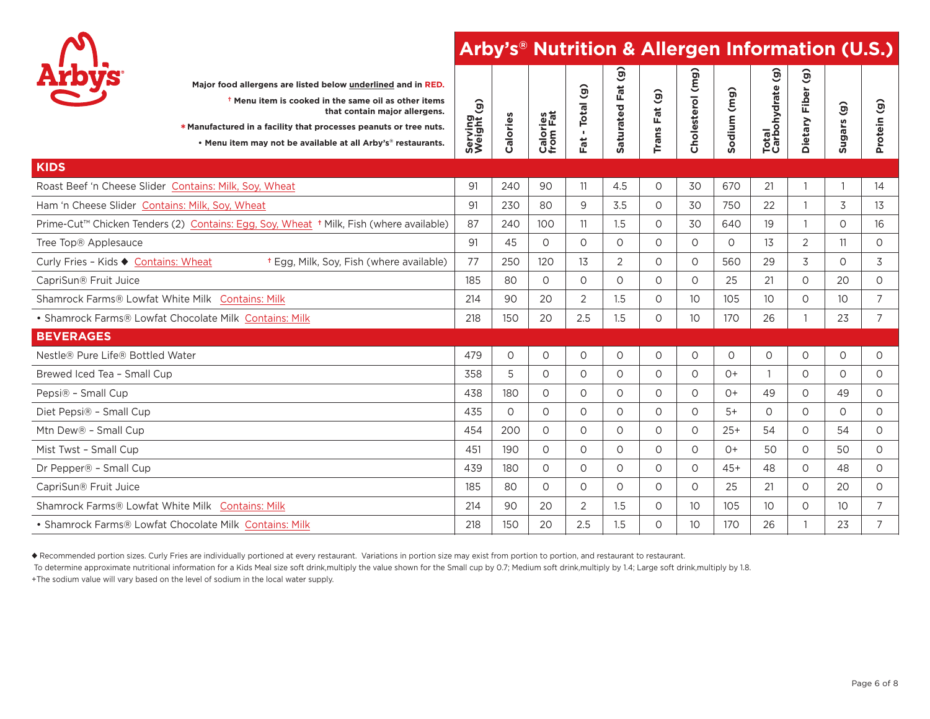

| Major food allergens are listed below underlined and in RED.<br><sup>†</sup> Menu item is cooked in the same oil as other items<br>that contain major allergens.<br>* Manufactured in a facility that processes peanuts or tree nuts.<br>. Menu item may not be available at all Arby's® restaurants. | Serving<br>Weight (g) | Calories | Calories<br>from Fat | Total (g)<br>$\mathbf{r}$<br>Fat | $\widehat{g}$<br>Fat<br>aturated<br>Ŵ | $\mathbf{G}$<br>Fat<br>Trans | Cholesterol (mg) | (mg)<br>Sodium | $\hat{e}$<br>Total<br>Carbohydrate | $\widehat{a}$<br>Fiber<br>Dietary | $\widehat{\mathbf{e}}$<br>Sugars | $\overline{1}$<br>Protein |
|-------------------------------------------------------------------------------------------------------------------------------------------------------------------------------------------------------------------------------------------------------------------------------------------------------|-----------------------|----------|----------------------|----------------------------------|---------------------------------------|------------------------------|------------------|----------------|------------------------------------|-----------------------------------|----------------------------------|---------------------------|
| <b>KIDS</b>                                                                                                                                                                                                                                                                                           |                       |          |                      |                                  |                                       |                              |                  |                |                                    |                                   |                                  |                           |
| Roast Beef 'n Cheese Slider Contains: Milk, Soy, Wheat                                                                                                                                                                                                                                                | 91                    | 240      | 90                   | 11                               | 4.5                                   | $\circ$                      | 30               | 670            | 21                                 | $\mathbf{1}$                      |                                  | 14                        |
| Ham 'n Cheese Slider Contains: Milk, Soy, Wheat                                                                                                                                                                                                                                                       | 91                    | 230      | 80                   | 9                                | 3.5                                   | 0                            | 30               | 750            | 22                                 | $\mathbf{1}$                      | 3                                | 13                        |
| Prime-Cut™ Chicken Tenders (2) Contains: Egg, Soy, Wheat + Milk, Fish (where available)                                                                                                                                                                                                               | 87                    | 240      | 100                  | 11                               | 1.5                                   | $\circ$                      | 30               | 640            | 19                                 | $\mathbf{1}$                      | 0                                | 16                        |
| Tree Top® Applesauce                                                                                                                                                                                                                                                                                  | 91                    | 45       | $\Omega$             | $\circ$                          | $\circ$                               | $\circ$                      | $\Omega$         | $\circ$        | 13                                 | $\overline{2}$                    | 11                               | $\circ$                   |
| <sup>+</sup> Egg, Milk, Soy, Fish (where available)<br>Curly Fries - Kids ♦ Contains: Wheat                                                                                                                                                                                                           | 77                    | 250      | 120                  | 13                               | $\overline{2}$                        | $\circ$                      | $\circ$          | 560            | 29                                 | 3                                 | 0                                | 3                         |
| CapriSun® Fruit Juice                                                                                                                                                                                                                                                                                 | 185                   | 80       | $\Omega$             | $\circ$                          | $\circ$                               | $\circ$                      | $\Omega$         | 25             | 21                                 | $\circ$                           | 20                               | $\circ$                   |
| Shamrock Farms® Lowfat White Milk Contains: Milk                                                                                                                                                                                                                                                      | 214                   | 90       | 20                   | $\overline{2}$                   | 1.5                                   | $\circ$                      | 10               | 105            | 10 <sup>°</sup>                    | $\circ$                           | 10                               | $\overline{7}$            |
| • Shamrock Farms® Lowfat Chocolate Milk Contains: Milk                                                                                                                                                                                                                                                | 218                   | 150      | 20                   | 2.5                              | 1.5                                   | $\circ$                      | 10 <sup>°</sup>  | 170            | 26                                 | $\mathbf{1}$                      | 23                               | $\overline{7}$            |
| <b>BEVERAGES</b>                                                                                                                                                                                                                                                                                      |                       |          |                      |                                  |                                       |                              |                  |                |                                    |                                   |                                  |                           |
| Nestle® Pure Life® Bottled Water                                                                                                                                                                                                                                                                      | 479                   | $\circ$  | $\circ$              | $\circ$                          | $\circ$                               | 0                            | 0                | $\circ$        | $\circ$                            | $\circ$                           | 0                                | $\circ$                   |
| Brewed Iced Tea - Small Cup                                                                                                                                                                                                                                                                           | 358                   | 5        | $\Omega$             | $\Omega$                         | $\circ$                               | 0                            | $\Omega$         | $()+$          | 1                                  | $\Omega$                          | $\Omega$                         | $\circ$                   |
| Pepsi® - Small Cup                                                                                                                                                                                                                                                                                    | 438                   | 180      | $\circ$              | $\circ$                          | $\circ$                               | $\circ$                      | $\circ$          | $()+$          | 49                                 | $\circ$                           | 49                               | $\circ$                   |
| Diet Pepsi® - Small Cup                                                                                                                                                                                                                                                                               | 435                   | $\circ$  | $\circ$              | $\Omega$                         | $\circ$                               | $\circ$                      | $\circ$          | $5+$           | $\circ$                            | $\circ$                           | 0                                | $\circ$                   |
| Mtn Dew® - Small Cup                                                                                                                                                                                                                                                                                  | 454                   | 200      | $\circ$              | $\Omega$                         | $\circ$                               | $\circ$                      | $\circ$          | $25+$          | 54                                 | $\circ$                           | 54                               | $\circ$                   |
| Mist Twst - Small Cup                                                                                                                                                                                                                                                                                 | 451                   | 190      | $\Omega$             | $\Omega$                         | $\circ$                               | $\circ$                      | $\Omega$         | $()+$          | 50                                 | $\circ$                           | 50                               | $\circ$                   |
| Dr Pepper® - Small Cup                                                                                                                                                                                                                                                                                | 439                   | 180      | $\circ$              | $\Omega$                         | $\circ$                               | $\circ$                      | $\circ$          | $45+$          | 48                                 | $\circ$                           | 48                               | $\circ$                   |
| CapriSun® Fruit Juice                                                                                                                                                                                                                                                                                 | 185                   | 80       | $\Omega$             | $\Omega$                         | $\circ$                               | $\circ$                      | $\Omega$         | 25             | 21                                 | $\Omega$                          | 20                               | $\circ$                   |
| Shamrock Farms® Lowfat White Milk Contains: Milk                                                                                                                                                                                                                                                      | 214                   | 90       | 20                   | $\overline{2}$                   | 1.5                                   | 0                            | 10               | 105            | 10 <sup>°</sup>                    | $\circ$                           | 10 <sup>°</sup>                  | $\overline{7}$            |
| • Shamrock Farms® Lowfat Chocolate Milk Contains: Milk                                                                                                                                                                                                                                                | 218                   | 150      | 20                   | 2.5                              | 1.5                                   | $\circ$                      | 10 <sup>°</sup>  | 170            | 26                                 | $\mathbf{1}$                      | 23                               | 7                         |

u Recommended portion sizes. Curly Fries are individually portioned at every restaurant. Variations in portion size may exist from portion to portion, and restaurant to restaurant.

To determine approximate nutritional information for a Kids Meal size soft drink,multiply the value shown for the Small cup by 0.7; Medium soft drink,multiply by 1.4; Large soft drink,multiply by 1.8. +The sodium value will vary based on the level of sodium in the local water supply.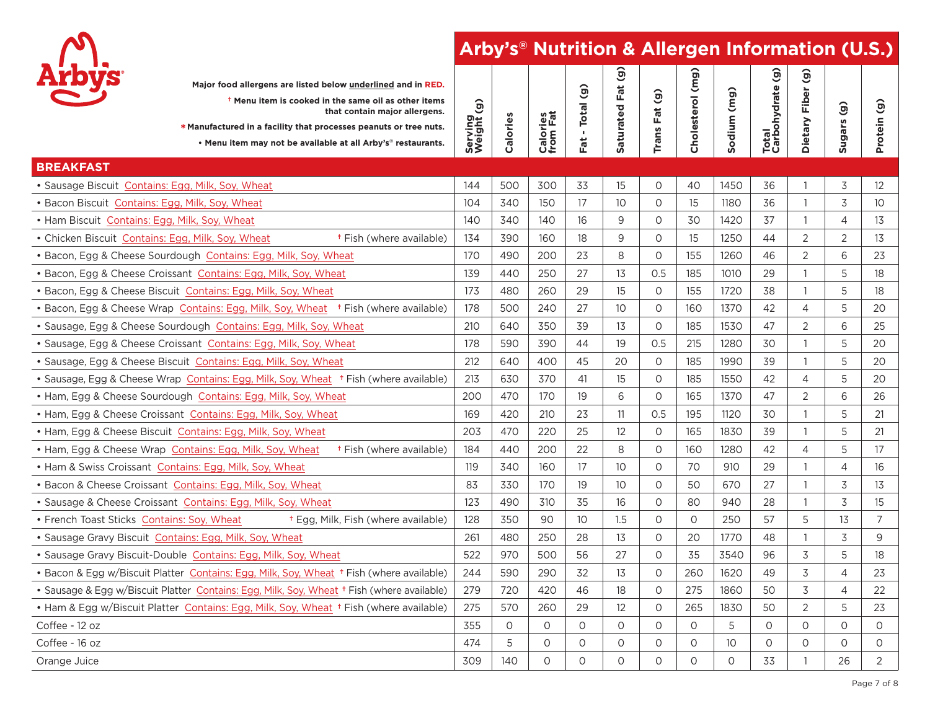

| <b>Arbys</b><br>Major food allergens are listed below underlined and in RED.<br><sup>†</sup> Menu item is cooked in the same oil as other items<br>that contain major allergens.<br>* Manufactured in a facility that processes peanuts or tree nuts.<br>. Menu item may not be available at all Arby's® restaurants. | Serving<br>Weight (g) | Calories | Calories<br>from Fat | - Total (g)<br>Fat | (б)<br>Fat<br>Saturated | $\widehat{g}$<br><b>Trans Fat</b> | Cholesterol (mg) | Sodium (mg) | Total<br>Carbohydrate (g) | $\widehat{\mathbf{e}}$<br>Fiber<br>Dietary | $\widehat{g}$<br>Sugars | $\hat{g}$<br>Protein |
|-----------------------------------------------------------------------------------------------------------------------------------------------------------------------------------------------------------------------------------------------------------------------------------------------------------------------|-----------------------|----------|----------------------|--------------------|-------------------------|-----------------------------------|------------------|-------------|---------------------------|--------------------------------------------|-------------------------|----------------------|
| <b>BREAKFAST</b>                                                                                                                                                                                                                                                                                                      |                       |          |                      |                    |                         |                                   |                  |             |                           |                                            |                         |                      |
| · Sausage Biscuit Contains: Egg, Milk, Soy, Wheat                                                                                                                                                                                                                                                                     | 144                   | 500      | 300                  | 33                 | 15                      | $\circ$                           | 40               | 1450        | 36                        | $\overline{1}$                             | 3                       | 12                   |
| · Bacon Biscuit Contains: Egg, Milk, Soy, Wheat                                                                                                                                                                                                                                                                       | 104                   | 340      | 150                  | 17                 | 10                      | $\circ$                           | 15               | 1180        | 36                        | $\mathbf{1}$                               | 3                       | 10 <sup>°</sup>      |
| • Ham Biscuit Contains: Egg, Milk, Soy, Wheat                                                                                                                                                                                                                                                                         | 140                   | 340      | 140                  | 16                 | 9                       | $\circ$                           | 30               | 1420        | 37                        | $\mathbf{1}$                               | 4                       | 13                   |
| <sup>†</sup> Fish (where available)<br>• Chicken Biscuit Contains: Egg, Milk, Soy, Wheat                                                                                                                                                                                                                              | 134                   | 390      | 160                  | 18                 | 9                       | $\circ$                           | 15               | 1250        | 44                        | $\overline{2}$                             | 2                       | 13                   |
| • Bacon, Egg & Cheese Sourdough Contains: Egg, Milk, Soy, Wheat                                                                                                                                                                                                                                                       | 170                   | 490      | 200                  | 23                 | 8                       | $\Omega$                          | 155              | 1260        | 46                        | $\overline{2}$                             | 6                       | 23                   |
| · Bacon, Egg & Cheese Croissant Contains: Egg, Milk, Soy, Wheat                                                                                                                                                                                                                                                       | 139                   | 440      | 250                  | 27                 | 13                      | 0.5                               | 185              | 1010        | 29                        | $\mathbf{1}$                               | 5                       | 18                   |
| · Bacon, Egg & Cheese Biscuit Contains: Egg, Milk, Soy, Wheat                                                                                                                                                                                                                                                         | 173                   | 480      | 260                  | 29                 | 15                      | $\circ$                           | 155              | 1720        | 38                        | $\mathbf{1}$                               | 5                       | 18                   |
| • Bacon, Egg & Cheese Wrap Contains: Egg, Milk, Soy, Wheat + Fish (where available)                                                                                                                                                                                                                                   | 178                   | 500      | 240                  | 27                 | 10                      | 0                                 | 160              | 1370        | 42                        | $\overline{4}$                             | 5                       | 20                   |
| · Sausage, Egg & Cheese Sourdough Contains: Egg, Milk, Soy, Wheat                                                                                                                                                                                                                                                     | 210                   | 640      | 350                  | 39                 | 13                      | $\Omega$                          | 185              | 1530        | 47                        | $\overline{2}$                             | 6                       | 25                   |
| · Sausage, Egg & Cheese Croissant Contains: Egg, Milk, Soy, Wheat                                                                                                                                                                                                                                                     | 178                   | 590      | 390                  | 44                 | 19                      | 0.5                               | 215              | 1280        | 30                        | $\mathbf{1}$                               | 5                       | 20                   |
| · Sausage, Egg & Cheese Biscuit Contains: Egg, Milk, Soy, Wheat                                                                                                                                                                                                                                                       | 212                   | 640      | 400                  | 45                 | 20                      | $\Omega$                          | 185              | 1990        | 39                        | $\mathbf{1}$                               | 5                       | 20                   |
| • Sausage, Egg & Cheese Wrap Contains: Egg, Milk, Soy, Wheat + Fish (where available)                                                                                                                                                                                                                                 | 213                   | 630      | 370                  | 41                 | 15                      | $\circ$                           | 185              | 1550        | 42                        | $\overline{4}$                             | 5                       | 20                   |
| . Ham, Egg & Cheese Sourdough Contains: Egg, Milk, Soy, Wheat                                                                                                                                                                                                                                                         | 200                   | 470      | 170                  | 19                 | 6                       | $\circ$                           | 165              | 1370        | 47                        | $\overline{2}$                             | 6                       | 26                   |
| • Ham, Egg & Cheese Croissant Contains: Egg, Milk, Soy, Wheat                                                                                                                                                                                                                                                         | 169                   | 420      | 210                  | 23                 | 11                      | 0.5                               | 195              | 1120        | 30                        | $\mathbf{1}$                               | 5                       | 21                   |
| • Ham, Egg & Cheese Biscuit Contains: Egg, Milk, Soy, Wheat                                                                                                                                                                                                                                                           | 203                   | 470      | 220                  | 25                 | 12                      | $\circ$                           | 165              | 1830        | 39                        | $\mathbf{1}$                               | 5                       | 21                   |
| <sup>†</sup> Fish (where available)<br>• Ham, Egg & Cheese Wrap Contains: Egg, Milk, Soy, Wheat                                                                                                                                                                                                                       | 184                   | 440      | 200                  | 22                 | 8                       | $\Omega$                          | 160              | 1280        | 42                        | $\overline{4}$                             | 5                       | 17                   |
| . Ham & Swiss Croissant Contains: Egg, Milk, Soy, Wheat                                                                                                                                                                                                                                                               | 119                   | 340      | 160                  | 17                 | 10                      | $\circ$                           | 70               | 910         | 29                        | $\mathbf{1}$                               | 4                       | 16                   |
| . Bacon & Cheese Croissant Contains: Egg, Milk, Soy, Wheat                                                                                                                                                                                                                                                            | 83                    | 330      | 170                  | 19                 | 10                      | $\circ$                           | 50               | 670         | 27                        | $\mathbf{1}$                               | 3                       | 13                   |
| · Sausage & Cheese Croissant Contains: Egg, Milk, Soy, Wheat                                                                                                                                                                                                                                                          | 123                   | 490      | 310                  | 35                 | 16                      | $\Omega$                          | 80               | 940         | 28                        | $\mathbf{1}$                               | 3                       | 15                   |
| • French Toast Sticks Contains: Soy, Wheat<br><sup>†</sup> Egg, Milk, Fish (where available)                                                                                                                                                                                                                          | 128                   | 350      | 90                   | 10                 | 1.5                     | $\circ$                           | $\Omega$         | 250         | 57                        | 5                                          | 13                      | $\overline{7}$       |
| · Sausage Gravy Biscuit Contains: Egg, Milk, Soy, Wheat                                                                                                                                                                                                                                                               | 261                   | 480      | 250                  | 28                 | 13                      | $\circ$                           | 20               | 1770        | 48                        | $\mathbf{1}$                               | 3                       | 9                    |
| · Sausage Gravy Biscuit-Double Contains: Egg, Milk, Soy, Wheat                                                                                                                                                                                                                                                        | 522                   | 970      | 500                  | 56                 | 27                      | $\circ$                           | 35               | 3540        | 96                        | 3                                          | 5                       | 18                   |
| • Bacon & Egg w/Biscuit Platter Contains: Egg, Milk, Soy, Wheat + Fish (where available)                                                                                                                                                                                                                              | 244                   | 590      | 290                  | 32                 | 13                      | $\circ$                           | 260              | 1620        | 49                        | 3                                          | $\overline{4}$          | 23                   |
| • Sausage & Egg w/Biscuit Platter Contains: Egg, Milk, Soy, Wheat + Fish (where available)                                                                                                                                                                                                                            | 279                   | 720      | 420                  | 46                 | 18                      | $\circ$                           | 275              | 1860        | 50                        | 3                                          | 4                       | 22                   |
| . Ham & Egg w/Biscuit Platter Contains: Egg, Milk, Soy, Wheat + Fish (where available)                                                                                                                                                                                                                                | 275                   | 570      | 260                  | 29                 | 12                      | $\circ$                           | 265              | 1830        | 50                        | $\overline{2}$                             | 5                       | 23                   |
| Coffee - 12 oz                                                                                                                                                                                                                                                                                                        | 355                   | $\circ$  | $\circ$              | $\circ$            | $\circ$                 | 0                                 | $\circ$          | 5           | 0                         | $\circ$                                    | $\circ$                 | $\circ$              |
| Coffee - 16 oz                                                                                                                                                                                                                                                                                                        | 474                   | 5        | $\circ$              | $\circ$            | $\circ$                 | $\circ$                           | $\circ$          | 10          | $\circ$                   | $\circ$                                    | $\circ$                 | $\circ$              |
| Orange Juice                                                                                                                                                                                                                                                                                                          | 309                   | 140      | $\circ$              | $\circ$            | $\circ$                 | $\circ$                           | $\circ$          | $\Omega$    | 33                        | $\mathbf{1}$                               | 26                      | $\overline{2}$       |